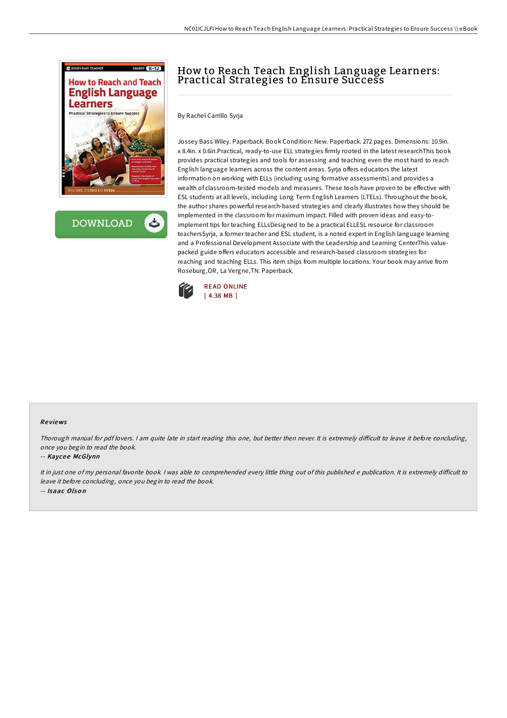

**DOWNLOAD** 

# How to Reach Teach English Language Learners: Practical Strategies to Ensure Success

By Rachel Carrillo Syrja

Jossey Bass Wiley. Paperback. Book Condition: New. Paperback. 272 pages. Dimensions: 10.9in. x 8.4in. x 0.6in.Practical, ready-to-use ELL strategies firmly rooted in the latest researchThis book provides practical strategies and tools for assessing and teaching even the most hard to reach English language learners across the content areas. Syrja offers educators the latest information on working with ELLs (including using formative assessments) and provides a wealth of classroom-tested models and measures. These tools have proven to be effective with ESL students at all levels, including Long Term English Learners (LTELs). Throughout the book, the author shares powerful research-based strategies and clearly illustrates how they should be implemented in the classroom for maximum impact. Filled with proven ideas and easy-toimplement tips for teaching ELLsDesigned to be a practical ELLESL resource for classroom teachersSyrja, a former teacher and ESL student, is a noted expert in English language learning and a Professional Development Associate with the Leadership and Learning CenterThis valuepacked guide offers educators accessible and research-based classroom strategies for reaching and teaching ELLs. This item ships from multiple locations. Your book may arrive from Roseburg,OR, La Vergne,TN. Paperback.



#### Re views

Thorough manual for pdf lovers. I am quite late in start reading this one, but better then never. It is extremely difficult to leave it before concluding, once you begin to read the book.

#### -- Kaycee McGlynn

It in just one of my personal favorite book. I was able to comprehended every little thing out of this published e publication. It is extremely difficult to leave it before concluding, once you begin to read the book. -- Isaac Olso <sup>n</sup>